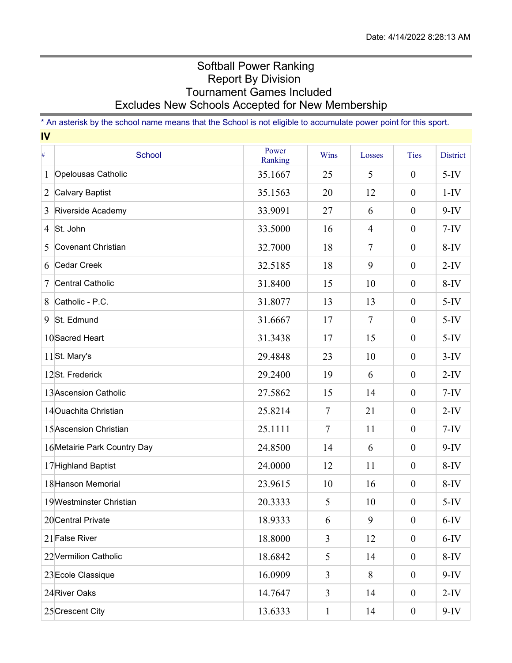## Softball Power Ranking Report By Division Tournament Games Included Excludes New Schools Accepted for New Membership

\* An asterisk by the school name means that the School is not eligible to accumulate power point for this sport. **IV**

| $\#$ | School                       | Power              | Wins           | Losses         | <b>Ties</b>      | <b>District</b> |
|------|------------------------------|--------------------|----------------|----------------|------------------|-----------------|
| 1    | Opelousas Catholic           | Ranking<br>35.1667 | 25             | 5              | $\boldsymbol{0}$ | $5-IV$          |
| 2    | <b>Calvary Baptist</b>       | 35.1563            | 20             | 12             | $\boldsymbol{0}$ | $1-IV$          |
| 3    | Riverside Academy            | 33.9091            | 27             | 6              | $\mathbf{0}$     | $9-IV$          |
|      | 4 St. John                   | 33.5000            | 16             | $\overline{4}$ | $\boldsymbol{0}$ | $7-IV$          |
| 5    | Covenant Christian           | 32.7000            | 18             | $\tau$         | $\boldsymbol{0}$ | $8-IV$          |
| 6    | Cedar Creek                  | 32.5185            | 18             | 9              | $\boldsymbol{0}$ | $2-IV$          |
| 7    | <b>Central Catholic</b>      | 31.8400            | 15             | 10             | $\boldsymbol{0}$ | $8-IV$          |
| 8    | Catholic - P.C.              | 31.8077            | 13             | 13             | $\overline{0}$   | $5-IV$          |
|      |                              |                    |                |                |                  |                 |
| 9    | St. Edmund                   | 31.6667            | 17             | $\overline{7}$ | $\boldsymbol{0}$ | $5-IV$          |
|      | 10 Sacred Heart              | 31.3438            | 17             | 15             | $\boldsymbol{0}$ | $5-IV$          |
|      | 11St. Mary's                 | 29.4848            | 23             | 10             | $\boldsymbol{0}$ | $3-IV$          |
|      | 12St. Frederick              | 29.2400            | 19             | 6              | $\boldsymbol{0}$ | $2-IV$          |
|      | 13 Ascension Catholic        | 27.5862            | 15             | 14             | $\boldsymbol{0}$ | $7-IV$          |
|      | 14 Ouachita Christian        | 25.8214            | $\tau$         | 21             | $\boldsymbol{0}$ | $2-IV$          |
|      | 15 Ascension Christian       | 25.1111            | $\tau$         | 11             | $\boldsymbol{0}$ | $7-IV$          |
|      | 16 Metairie Park Country Day | 24.8500            | 14             | 6              | $\boldsymbol{0}$ | $9-IV$          |
|      | 17 Highland Baptist          | 24.0000            | 12             | 11             | $\boldsymbol{0}$ | $8-IV$          |
|      | 18 Hanson Memorial           | 23.9615            | 10             | 16             | $\boldsymbol{0}$ | $8-IV$          |
|      | 19Westminster Christian      | 20.3333            | 5              | 10             | $\boldsymbol{0}$ | $5-IV$          |
|      | 20 Central Private           | 18.9333            | 6              | 9              | $\boldsymbol{0}$ | $6-IV$          |
|      | 21 False River               | 18.8000            | $\mathfrak{Z}$ | 12             | $\boldsymbol{0}$ | $6-IV$          |
|      | 22 Vermilion Catholic        | 18.6842            | 5              | 14             | $\boldsymbol{0}$ | $8-IV$          |
|      | 23 Ecole Classique           | 16.0909            | $\mathfrak{Z}$ | 8              | $\boldsymbol{0}$ | $9-IV$          |
|      | 24 River Oaks                | 14.7647            | 3              | 14             | $\boldsymbol{0}$ | $2-IV$          |
|      | 25 Crescent City             | 13.6333            | $\mathbf{1}$   | 14             | $\boldsymbol{0}$ | $9-IV$          |